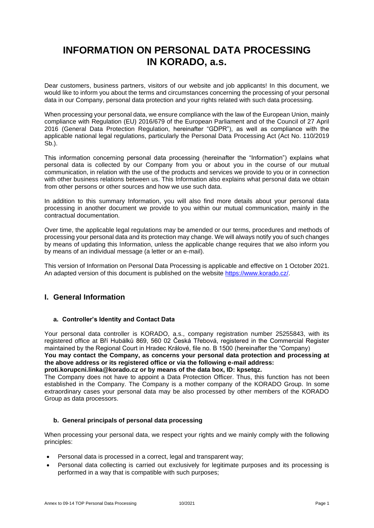# **INFORMATION ON PERSONAL DATA PROCESSING IN KORADO, a.s.**

Dear customers, business partners, visitors of our website and job applicants! In this document, we would like to inform you about the terms and circumstances concerning the processing of your personal data in our Company, personal data protection and your rights related with such data processing.

When processing your personal data, we ensure compliance with the law of the European Union, mainly compliance with Regulation (EU) 2016/679 of the European Parliament and of the Council of 27 April 2016 (General Data Protection Regulation, hereinafter "GDPR"), as well as compliance with the applicable national legal regulations, particularly the Personal Data Processing Act (Act No. 110/2019  $Sb.$ ).

This information concerning personal data processing (hereinafter the "Information") explains what personal data is collected by our Company from you or about you in the course of our mutual communication, in relation with the use of the products and services we provide to you or in connection with other business relations between us. This Information also explains what personal data we obtain from other persons or other sources and how we use such data.

In addition to this summary Information, you will also find more details about your personal data processing in another document we provide to you within our mutual communication, mainly in the contractual documentation.

Over time, the applicable legal regulations may be amended or our terms, procedures and methods of processing your personal data and its protection may change. We will always notify you of such changes by means of updating this Information, unless the applicable change requires that we also inform you by means of an individual message (a letter or an e-mail).

This version of Information on Personal Data Processing is applicable and effective on 1 October 2021. An adapted version of this document is published on the website [https://www.korado.cz/.](https://www.korado.cz/)

# **I. General Information**

# **a. Controller's Identity and Contact Data**

Your personal data controller is KORADO, a.s., company registration number 25255843, with its registered office at Bří Hubálků 869, 560 02 Česká Třebová, registered in the Commercial Register maintained by the Regional Court in Hradec Králové, file no. B 1500 (hereinafter the "Company) **You may contact the Company, as concerns your personal data protection and processing at the above address or its registered office or via the following e-mail address: proti.korupcni.linka@korado.cz or by means of the data box, ID: kpsetqz.** 

The Company does not have to appoint a Data Protection Officer. Thus, this function has not been established in the Company. The Company is a mother company of the KORADO Group. In some extraordinary cases your personal data may be also processed by other members of the KORADO Group as data processors.

#### **b. General principals of personal data processing**

When processing your personal data, we respect your rights and we mainly comply with the following principles:

- Personal data is processed in a correct, legal and transparent way;
- Personal data collecting is carried out exclusively for legitimate purposes and its processing is performed in a way that is compatible with such purposes;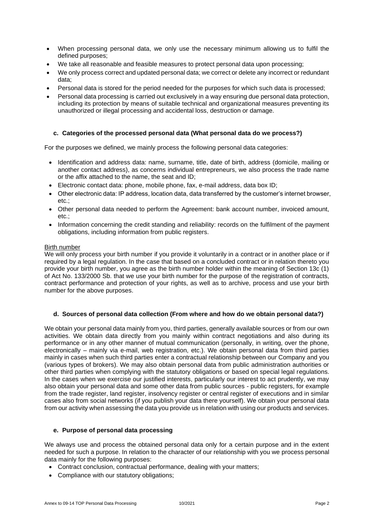- When processing personal data, we only use the necessary minimum allowing us to fulfil the defined purposes;
- We take all reasonable and feasible measures to protect personal data upon processing;
- We only process correct and updated personal data; we correct or delete any incorrect or redundant data;
- Personal data is stored for the period needed for the purposes for which such data is processed;
- Personal data processing is carried out exclusively in a way ensuring due personal data protection, including its protection by means of suitable technical and organizational measures preventing its unauthorized or illegal processing and accidental loss, destruction or damage.

#### **c. Categories of the processed personal data (What personal data do we process?)**

For the purposes we defined, we mainly process the following personal data categories:

- Identification and address data: name, surname, title, date of birth, address (domicile, mailing or another contact address), as concerns individual entrepreneurs, we also process the trade name or the affix attached to the name, the seat and ID;
- Electronic contact data: phone, mobile phone, fax, e-mail address, data box ID;
- Other electronic data: IP address, location data, data transferred by the customer's internet browser, etc.;
- Other personal data needed to perform the Agreement: bank account number, invoiced amount, etc.;
- Information concerning the credit standing and reliability: records on the fulfilment of the payment obligations, including information from public registers.

#### Birth number

We will only process your birth number if you provide it voluntarily in a contract or in another place or if required by a legal regulation. In the case that based on a concluded contract or in relation thereto you provide your birth number, you agree as the birth number holder within the meaning of Section 13c (1) of Act No. 133/2000 Sb. that we use your birth number for the purpose of the registration of contracts, contract performance and protection of your rights, as well as to archive, process and use your birth number for the above purposes.

#### **d. Sources of personal data collection (From where and how do we obtain personal data?)**

We obtain your personal data mainly from you, third parties, generally available sources or from our own activities. We obtain data directly from you mainly within contract negotiations and also during its performance or in any other manner of mutual communication (personally, in writing, over the phone, electronically – mainly via e-mail, web registration, etc.). We obtain personal data from third parties mainly in cases when such third parties enter a contractual relationship between our Company and you (various types of brokers). We may also obtain personal data from public administration authorities or other third parties when complying with the statutory obligations or based on special legal regulations. In the cases when we exercise our justified interests, particularly our interest to act prudently, we may also obtain your personal data and some other data from public sources - public registers, for example from the trade register, land register, insolvency register or central register of executions and in similar cases also from social networks (if you publish your data there yourself). We obtain your personal data from our activity when assessing the data you provide us in relation with using our products and services.

#### **e. Purpose of personal data processing**

We always use and process the obtained personal data only for a certain purpose and in the extent needed for such a purpose. In relation to the character of our relationship with you we process personal data mainly for the following purposes:

- Contract conclusion, contractual performance, dealing with your matters;
- Compliance with our statutory obligations;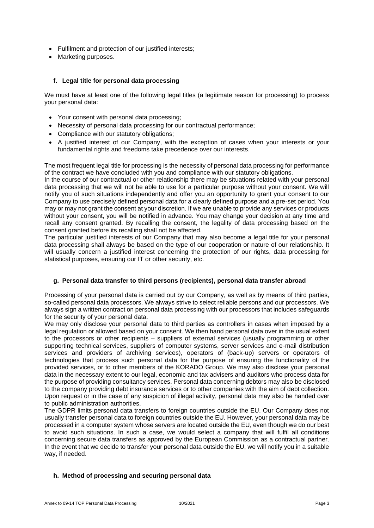- Fulfilment and protection of our justified interests;
- Marketing purposes.

# **f. Legal title for personal data processing**

We must have at least one of the following legal titles (a legitimate reason for processing) to process your personal data:

- Your consent with personal data processing;
- Necessity of personal data processing for our contractual performance;
- Compliance with our statutory obligations;
- A justified interest of our Company, with the exception of cases when your interests or your fundamental rights and freedoms take precedence over our interests.

The most frequent legal title for processing is the necessity of personal data processing for performance of the contract we have concluded with you and compliance with our statutory obligations.

In the course of our contractual or other relationship there may be situations related with your personal data processing that we will not be able to use for a particular purpose without your consent. We will notify you of such situations independently and offer you an opportunity to grant your consent to our Company to use precisely defined personal data for a clearly defined purpose and a pre-set period. You may or may not grant the consent at your discretion. If we are unable to provide any services or products without your consent, you will be notified in advance. You may change your decision at any time and recall any consent granted. By recalling the consent, the legality of data processing based on the consent granted before its recalling shall not be affected.

The particular justified interests of our Company that may also become a legal title for your personal data processing shall always be based on the type of our cooperation or nature of our relationship. It will usually concern a justified interest concerning the protection of our rights, data processing for statistical purposes, ensuring our IT or other security, etc.

# **g. Personal data transfer to third persons (recipients), personal data transfer abroad**

Processing of your personal data is carried out by our Company, as well as by means of third parties, so-called personal data processors. We always strive to select reliable persons and our processors. We always sign a written contract on personal data processing with our processors that includes safeguards for the security of your personal data.

We may only disclose your personal data to third parties as controllers in cases when imposed by a legal regulation or allowed based on your consent. We then hand personal data over in the usual extent to the processors or other recipients – suppliers of external services (usually programming or other supporting technical services, suppliers of computer systems, server services and e-mail distribution services and providers of archiving services), operators of (back-up) servers or operators of technologies that process such personal data for the purpose of ensuring the functionality of the provided services, or to other members of the KORADO Group. We may also disclose your personal data in the necessary extent to our legal, economic and tax advisers and auditors who process data for the purpose of providing consultancy services. Personal data concerning debtors may also be disclosed to the company providing debt insurance services or to other companies with the aim of debt collection. Upon request or in the case of any suspicion of illegal activity, personal data may also be handed over to public administration authorities.

The GDPR limits personal data transfers to foreign countries outside the EU. Our Company does not usually transfer personal data to foreign countries outside the EU. However, your personal data may be processed in a computer system whose servers are located outside the EU, even though we do our best to avoid such situations. In such a case, we would select a company that will fulfil all conditions concerning secure data transfers as approved by the European Commission as a contractual partner. In the event that we decide to transfer your personal data outside the EU, we will notify you in a suitable way, if needed.

# **h. Method of processing and securing personal data**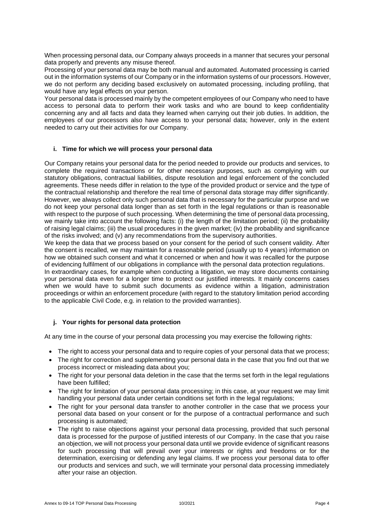When processing personal data, our Company always proceeds in a manner that secures your personal data properly and prevents any misuse thereof.

Processing of your personal data may be both manual and automated. Automated processing is carried out in the information systems of our Company or in the information systems of our processors. However, we do not perform any deciding based exclusively on automated processing, including profiling, that would have any legal effects on your person.

Your personal data is processed mainly by the competent employees of our Company who need to have access to personal data to perform their work tasks and who are bound to keep confidentiality concerning any and all facts and data they learned when carrying out their job duties. In addition, the employees of our processors also have access to your personal data; however, only in the extent needed to carry out their activities for our Company.

#### **i. Time for which we will process your personal data**

Our Company retains your personal data for the period needed to provide our products and services, to complete the required transactions or for other necessary purposes, such as complying with our statutory obligations, contractual liabilities, dispute resolution and legal enforcement of the concluded agreements. These needs differ in relation to the type of the provided product or service and the type of the contractual relationship and therefore the real time of personal data storage may differ significantly. However, we always collect only such personal data that is necessary for the particular purpose and we do not keep your personal data longer than as set forth in the legal regulations or than is reasonable with respect to the purpose of such processing. When determining the time of personal data processing, we mainly take into account the following facts: (i) the length of the limitation period; (ii) the probability of raising legal claims; (iii) the usual procedures in the given market; (iv) the probability and significance of the risks involved; and (v) any recommendations from the supervisory authorities.

We keep the data that we process based on your consent for the period of such consent validity. After the consent is recalled, we may maintain for a reasonable period (usually up to 4 years) information on how we obtained such consent and what it concerned or when and how it was recalled for the purpose of evidencing fulfilment of our obligations in compliance with the personal data protection regulations.

In extraordinary cases, for example when conducting a litigation, we may store documents containing your personal data even for a longer time to protect our justified interests. It mainly concerns cases when we would have to submit such documents as evidence within a litigation, administration proceedings or within an enforcement procedure (with regard to the statutory limitation period according to the applicable Civil Code, e.g. in relation to the provided warranties).

# **j. Your rights for personal data protection**

At any time in the course of your personal data processing you may exercise the following rights:

- The right to access your personal data and to require copies of your personal data that we process;
- The right for correction and supplementing your personal data in the case that you find out that we process incorrect or misleading data about you;
- The right for your personal data deletion in the case that the terms set forth in the legal regulations have been fulfilled;
- The right for limitation of your personal data processing; in this case, at your request we may limit handling your personal data under certain conditions set forth in the legal regulations;
- The right for your personal data transfer to another controller in the case that we process your personal data based on your consent or for the purpose of a contractual performance and such processing is automated;
- The right to raise objections against your personal data processing, provided that such personal data is processed for the purpose of justified interests of our Company. In the case that you raise an objection, we will not process your personal data until we provide evidence of significant reasons for such processing that will prevail over your interests or rights and freedoms or for the determination, exercising or defending any legal claims. If we process your personal data to offer our products and services and such, we will terminate your personal data processing immediately after your raise an objection.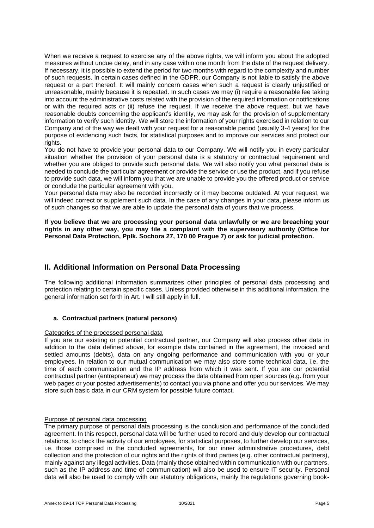When we receive a request to exercise any of the above rights, we will inform you about the adopted measures without undue delay, and in any case within one month from the date of the request delivery. If necessary, it is possible to extend the period for two months with regard to the complexity and number of such requests. In certain cases defined in the GDPR, our Company is not liable to satisfy the above request or a part thereof. It will mainly concern cases when such a request is clearly unjustified or unreasonable, mainly because it is repeated. In such cases we may (i) require a reasonable fee taking into account the administrative costs related with the provision of the required information or notifications or with the required acts or (ii) refuse the request. If we receive the above request, but we have reasonable doubts concerning the applicant's identity, we may ask for the provision of supplementary information to verify such identity. We will store the information of your rights exercised in relation to our Company and of the way we dealt with your request for a reasonable period (usually 3-4 years) for the purpose of evidencing such facts, for statistical purposes and to improve our services and protect our rights.

You do not have to provide your personal data to our Company. We will notify you in every particular situation whether the provision of your personal data is a statutory or contractual requirement and whether you are obliged to provide such personal data. We will also notify you what personal data is needed to conclude the particular agreement or provide the service or use the product, and if you refuse to provide such data, we will inform you that we are unable to provide you the offered product or service or conclude the particular agreement with you.

Your personal data may also be recorded incorrectly or it may become outdated. At your request, we will indeed correct or supplement such data. In the case of any changes in your data, please inform us of such changes so that we are able to update the personal data of yours that we process.

**If you believe that we are processing your personal data unlawfully or we are breaching your rights in any other way, you may file a complaint with the supervisory authority (Office for Personal Data Protection, Pplk. Sochora 27, 170 00 Prague 7) or ask for judicial protection.**

# **II. Additional Information on Personal Data Processing**

The following additional information summarizes other principles of personal data processing and protection relating to certain specific cases. Unless provided otherwise in this additional information, the general information set forth in Art. I will still apply in full.

# **a. Contractual partners (natural persons)**

#### Categories of the processed personal data

If you are our existing or potential contractual partner, our Company will also process other data in addition to the data defined above, for example data contained in the agreement, the invoiced and settled amounts (debts), data on any ongoing performance and communication with you or your employees. In relation to our mutual communication we may also store some technical data, i.e. the time of each communication and the IP address from which it was sent. If you are our potential contractual partner (entrepreneur) we may process the data obtained from open sources (e.g. from your web pages or your posted advertisements) to contact you via phone and offer you our services. We may store such basic data in our CRM system for possible future contact.

# Purpose of personal data processing

The primary purpose of personal data processing is the conclusion and performance of the concluded agreement. In this respect, personal data will be further used to record and duly develop our contractual relations, to check the activity of our employees, for statistical purposes, to further develop our services, i.e. those comprised in the concluded agreements, for our inner administrative procedures, debt collection and the protection of our rights and the rights of third parties (e.g. other contractual partners), mainly against any illegal activities. Data (mainly those obtained within communication with our partners, such as the IP address and time of communication) will also be used to ensure IT security. Personal data will also be used to comply with our statutory obligations, mainly the regulations governing book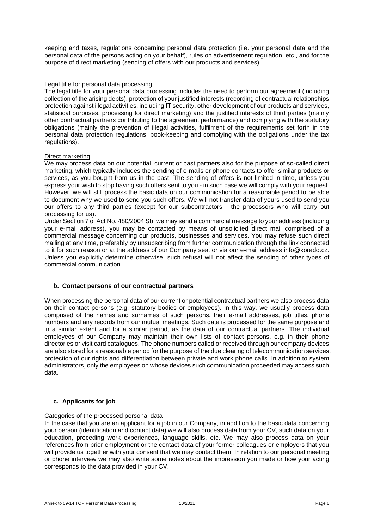keeping and taxes, regulations concerning personal data protection (i.e. your personal data and the personal data of the persons acting on your behalf), rules on advertisement regulation, etc., and for the purpose of direct marketing (sending of offers with our products and services).

#### Legal title for personal data processing

The legal title for your personal data processing includes the need to perform our agreement (including collection of the arising debts), protection of your justified interests (recording of contractual relationships, protection against illegal activities, including IT security, other development of our products and services, statistical purposes, processing for direct marketing) and the justified interests of third parties (mainly other contractual partners contributing to the agreement performance) and complying with the statutory obligations (mainly the prevention of illegal activities, fulfilment of the requirements set forth in the personal data protection regulations, book-keeping and complying with the obligations under the tax regulations).

#### Direct marketing

We may process data on our potential, current or past partners also for the purpose of so-called direct marketing, which typically includes the sending of e-mails or phone contacts to offer similar products or services, as you bought from us in the past. The sending of offers is not limited in time, unless you express your wish to stop having such offers sent to you - in such case we will comply with your request. However, we will still process the basic data on our communication for a reasonable period to be able to document why we used to send you such offers. We will not transfer data of yours used to send you our offers to any third parties (except for our subcontractors - the processors who will carry out processing for us).

Under Section 7 of Act No. 480/2004 Sb. we may send a commercial message to your address (including your e-mail address), you may be contacted by means of unsolicited direct mail comprised of a commercial message concerning our products, businesses and services. You may refuse such direct mailing at any time, preferably by unsubscribing from further communication through the link connected to it for such reason or at the address of our Company seat or via our e-mail address info@korado.cz. Unless you explicitly determine otherwise, such refusal will not affect the sending of other types of commercial communication.

#### **b. Contact persons of our contractual partners**

When processing the personal data of our current or potential contractual partners we also process data on their contact persons (e.g. statutory bodies or employees). In this way, we usually process data comprised of the names and surnames of such persons, their e-mail addresses, job titles, phone numbers and any records from our mutual meetings. Such data is processed for the same purpose and in a similar extent and for a similar period, as the data of our contractual partners. The individual employees of our Company may maintain their own lists of contact persons, e.g. in their phone directories or visit card catalogues. The phone numbers called or received through our company devices are also stored for a reasonable period for the purpose of the due clearing of telecommunication services, protection of our rights and differentiation between private and work phone calls. In addition to system administrators, only the employees on whose devices such communication proceeded may access such data.

#### **c. Applicants for job**

#### Categories of the processed personal data

In the case that you are an applicant for a job in our Company, in addition to the basic data concerning your person (identification and contact data) we will also process data from your CV, such data on your education, preceding work experiences, language skills, etc. We may also process data on your references from prior employment or the contact data of your former colleagues or employers that you will provide us together with your consent that we may contact them. In relation to our personal meeting or phone interview we may also write some notes about the impression you made or how your acting corresponds to the data provided in your CV.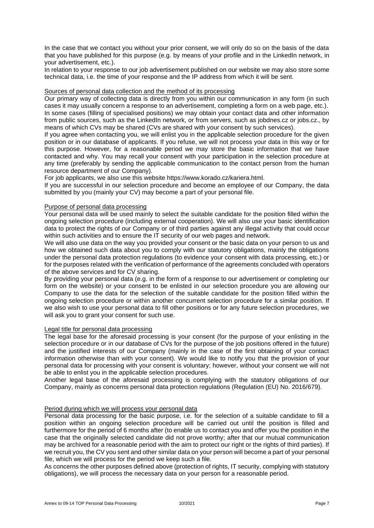In the case that we contact you without your prior consent, we will only do so on the basis of the data that you have published for this purpose (e.g. by means of your profile and in the LinkedIn network, in your advertisement, etc.).

In relation to your response to our job advertisement published on our website we may also store some technical data, i.e. the time of your response and the IP address from which it will be sent.

#### Sources of personal data collection and the method of its processing

Our primary way of collecting data is directly from you within our communication in any form (in such cases it may usually concern a response to an advertisement, completing a form on a web page, etc.). In some cases (filling of specialised positions) we may obtain your contact data and other information from public sources, such as the LinkedIn network, or from servers, such as jobdnes.cz or jobs.cz., by means of which CVs may be shared (CVs are shared with your consent by such services).

If you agree when contacting you, we will enlist you in the applicable selection procedure for the given position or in our database of applicants. If you refuse, we will not process your data in this way or for this purpose. However, for a reasonable period we may store the basic information that we have contacted and why. You may recall your consent with your participation in the selection procedure at any time (preferably by sending the applicable communication to the contact person from the human resource department of our Company).

For job applicants, we also use this website https://www.korado.cz/kariera.html.

If you are successful in our selection procedure and become an employee of our Company, the data submitted by you (mainly your CV) may become a part of your personal file.

#### Purpose of personal data processing

Your personal data will be used mainly to select the suitable candidate for the position filled within the ongoing selection procedure (including external cooperation). We will also use your basic identification data to protect the rights of our Company or of third parties against any illegal activity that could occur within such activities and to ensure the IT security of our web pages and network.

We will also use data on the way you provided your consent or the basic data on your person to us and how we obtained such data about you to comply with our statutory obligations, mainly the obligations under the personal data protection regulations (to evidence your consent with data processing, etc.) or for the purposes related with the verification of performance of the agreements concluded with operators of the above services and for CV sharing.

By providing your personal data (e.g. in the form of a response to our advertisement or completing our form on the website) or your consent to be enlisted in our selection procedure you are allowing our Company to use the data for the selection of the suitable candidate for the position filled within the ongoing selection procedure or within another concurrent selection procedure for a similar position. If we also wish to use your personal data to fill other positions or for any future selection procedures, we will ask you to grant your consent for such use.

#### Legal title for personal data processing

The legal base for the aforesaid processing is your consent (for the purpose of your enlisting in the selection procedure or in our database of CVs for the purpose of the job positions offered in the future) and the justified interests of our Company (mainly in the case of the first obtaining of your contact information otherwise than with your consent). We would like to notify you that the provision of your personal data for processing with your consent is voluntary; however, without your consent we will not be able to enlist you in the applicable selection procedures.

Another legal base of the aforesaid processing is complying with the statutory obligations of our Company, mainly as concerns personal data protection regulations (Regulation (EU) No. 2016/679).

#### Period during which we will process your personal data

Personal data processing for the basic purpose, i.e. for the selection of a suitable candidate to fill a position within an ongoing selection procedure will be carried out until the position is filled and furthermore for the period of 6 months after (to enable us to contact you and offer you the position in the case that the originally selected candidate did not prove worthy; after that our mutual communication may be archived for a reasonable period with the aim to protect our right or the rights of third parties). If we recruit you, the CV you sent and other similar data on your person will become a part of your personal file, which we will process for the period we keep such a file.

As concerns the other purposes defined above (protection of rights, IT security, complying with statutory obligations), we will process the necessary data on your person for a reasonable period.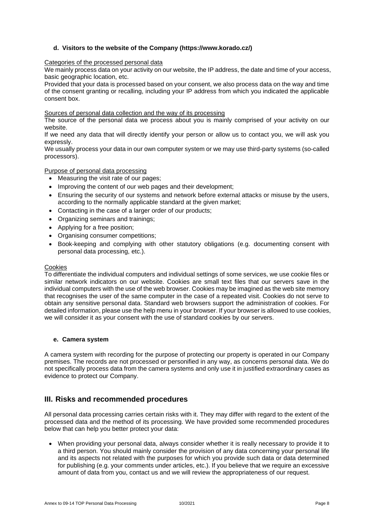# **d. Visitors to the website of the Company (https://www.korado.cz/)**

#### Categories of the processed personal data

We mainly process data on your activity on our website, the IP address, the date and time of your access, basic geographic location, etc.

Provided that your data is processed based on your consent, we also process data on the way and time of the consent granting or recalling, including your IP address from which you indicated the applicable consent box.

#### Sources of personal data collection and the way of its processing

The source of the personal data we process about you is mainly comprised of your activity on our website.

If we need any data that will directly identify your person or allow us to contact you, we will ask you expressly.

We usually process your data in our own computer system or we may use third-party systems (so-called processors).

#### Purpose of personal data processing

- Measuring the visit rate of our pages;
- Improving the content of our web pages and their development;
- Ensuring the security of our systems and network before external attacks or misuse by the users, according to the normally applicable standard at the given market;
- Contacting in the case of a larger order of our products;
- Organizing seminars and trainings;
- Applying for a free position;
- Organising consumer competitions;
- Book-keeping and complying with other statutory obligations (e.g. documenting consent with personal data processing, etc.).

#### Cookies

To differentiate the individual computers and individual settings of some services, we use cookie files or similar network indicators on our website. Cookies are small text files that our servers save in the individual computers with the use of the web browser. Cookies may be imagined as the web site memory that recognises the user of the same computer in the case of a repeated visit. Cookies do not serve to obtain any sensitive personal data. Standard web browsers support the administration of cookies. For detailed information, please use the help menu in your browser. If your browser is allowed to use cookies, we will consider it as your consent with the use of standard cookies by our servers.

#### **e. Camera system**

A camera system with recording for the purpose of protecting our property is operated in our Company premises. The records are not processed or personified in any way, as concerns personal data. We do not specifically process data from the camera systems and only use it in justified extraordinary cases as evidence to protect our Company.

# **III. Risks and recommended procedures**

All personal data processing carries certain risks with it. They may differ with regard to the extent of the processed data and the method of its processing. We have provided some recommended procedures below that can help you better protect your data:

• When providing your personal data, always consider whether it is really necessary to provide it to a third person. You should mainly consider the provision of any data concerning your personal life and its aspects not related with the purposes for which you provide such data or data determined for publishing (e.g. your comments under articles, etc.). If you believe that we require an excessive amount of data from you, contact us and we will review the appropriateness of our request.